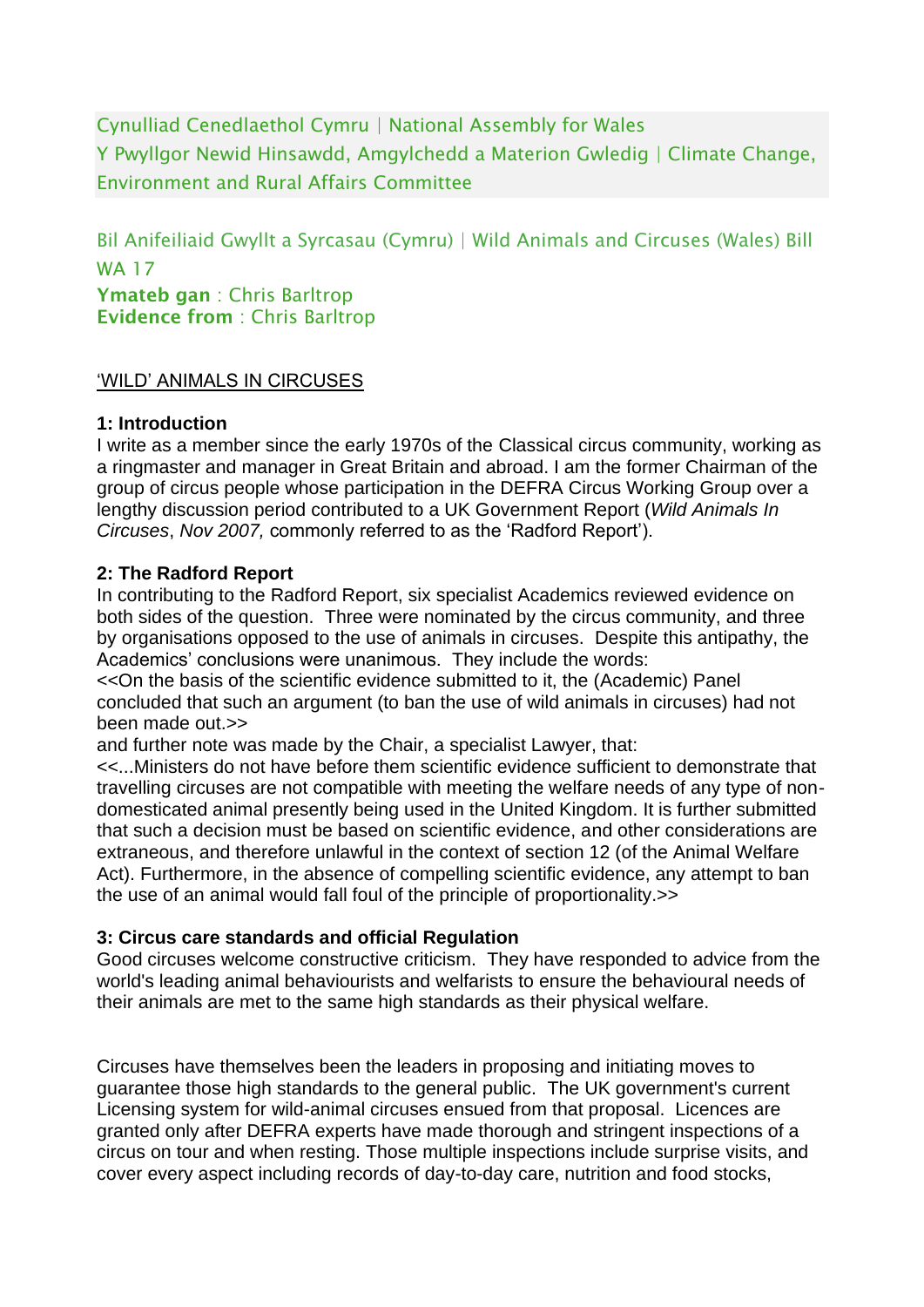Cynulliad Cenedlaethol Cymru | National Assembly for Wales Y Pwyllgor Newid Hinsawdd, Amgylchedd a Materion Gwledig | Climate Change, Environment and Rural Affairs Committee

Bil Anifeiliaid Gwyllt a Syrcasau (Cymru) | Wild Animals and Circuses (Wales) Bill WA 17 Ymateb gan : Chris Barltrop

Evidence from : Chris Barltrop

#### 'WILD' ANIMALS IN CIRCUSES

#### **1: Introduction**

I write as a member since the early 1970s of the Classical circus community, working as a ringmaster and manager in Great Britain and abroad. I am the former Chairman of the group of circus people whose participation in the DEFRA Circus Working Group over a lengthy discussion period contributed to a UK Government Report (*Wild Animals In Circuses*, *Nov 2007,* commonly referred to as the 'Radford Report').

#### **2: The Radford Report**

In contributing to the Radford Report, six specialist Academics reviewed evidence on both sides of the question. Three were nominated by the circus community, and three by organisations opposed to the use of animals in circuses. Despite this antipathy, the Academics' conclusions were unanimous. They include the words:

<<On the basis of the scientific evidence submitted to it, the (Academic) Panel concluded that such an argument (to ban the use of wild animals in circuses) had not been made out.>>

and further note was made by the Chair, a specialist Lawyer, that:

<<...Ministers do not have before them scientific evidence sufficient to demonstrate that travelling circuses are not compatible with meeting the welfare needs of any type of nondomesticated animal presently being used in the United Kingdom. It is further submitted that such a decision must be based on scientific evidence, and other considerations are extraneous, and therefore unlawful in the context of section 12 (of the Animal Welfare Act). Furthermore, in the absence of compelling scientific evidence, any attempt to ban the use of an animal would fall foul of the principle of proportionality.>>

#### **3: Circus care standards and official Regulation**

Good circuses welcome constructive criticism. They have responded to advice from the world's leading animal behaviourists and welfarists to ensure the behavioural needs of their animals are met to the same high standards as their physical welfare.

Circuses have themselves been the leaders in proposing and initiating moves to guarantee those high standards to the general public. The UK government's current Licensing system for wild-animal circuses ensued from that proposal. Licences are granted only after DEFRA experts have made thorough and stringent inspections of a circus on tour and when resting. Those multiple inspections include surprise visits, and cover every aspect including records of day-to-day care, nutrition and food stocks,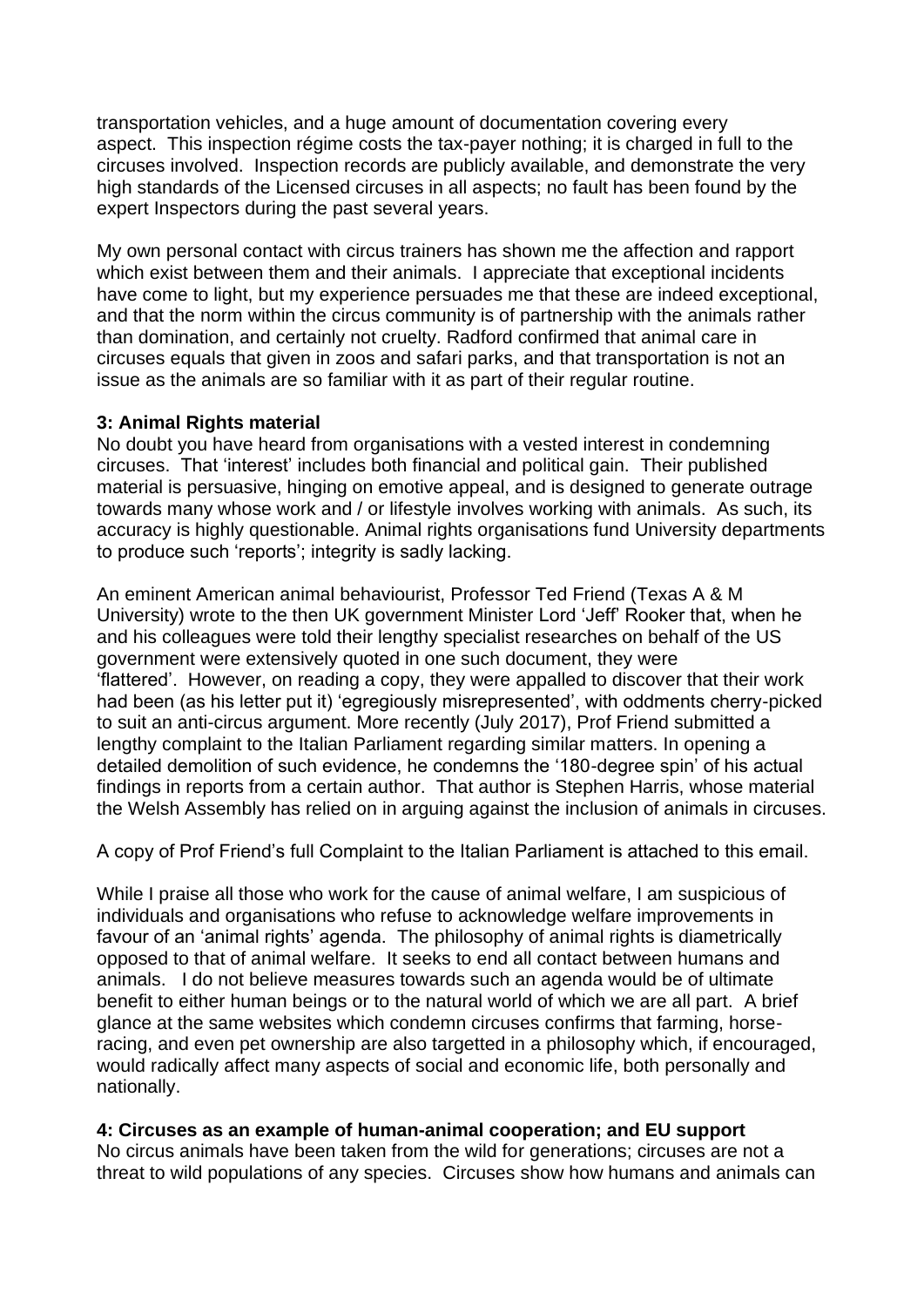transportation vehicles, and a huge amount of documentation covering every aspect. This inspection régime costs the tax-payer nothing; it is charged in full to the circuses involved. Inspection records are publicly available, and demonstrate the very high standards of the Licensed circuses in all aspects; no fault has been found by the expert Inspectors during the past several years.

My own personal contact with circus trainers has shown me the affection and rapport which exist between them and their animals. I appreciate that exceptional incidents have come to light, but my experience persuades me that these are indeed exceptional, and that the norm within the circus community is of partnership with the animals rather than domination, and certainly not cruelty. Radford confirmed that animal care in circuses equals that given in zoos and safari parks, and that transportation is not an issue as the animals are so familiar with it as part of their regular routine.

#### **3: Animal Rights material**

No doubt you have heard from organisations with a vested interest in condemning circuses. That 'interest' includes both financial and political gain. Their published material is persuasive, hinging on emotive appeal, and is designed to generate outrage towards many whose work and / or lifestyle involves working with animals. As such, its accuracy is highly questionable. Animal rights organisations fund University departments to produce such 'reports'; integrity is sadly lacking.

An eminent American animal behaviourist, Professor Ted Friend (Texas A & M University) wrote to the then UK government Minister Lord 'Jeff' Rooker that, when he and his colleagues were told their lengthy specialist researches on behalf of the US government were extensively quoted in one such document, they were 'flattered'. However, on reading a copy, they were appalled to discover that their work had been (as his letter put it) 'egregiously misrepresented', with oddments cherry-picked to suit an anti-circus argument. More recently (July 2017), Prof Friend submitted a lengthy complaint to the Italian Parliament regarding similar matters. In opening a detailed demolition of such evidence, he condemns the '180-degree spin' of his actual findings in reports from a certain author. That author is Stephen Harris, whose material the Welsh Assembly has relied on in arguing against the inclusion of animals in circuses.

A copy of Prof Friend's full Complaint to the Italian Parliament is attached to this email.

While I praise all those who work for the cause of animal welfare, I am suspicious of individuals and organisations who refuse to acknowledge welfare improvements in favour of an 'animal rights' agenda. The philosophy of animal rights is diametrically opposed to that of animal welfare. It seeks to end all contact between humans and animals. I do not believe measures towards such an agenda would be of ultimate benefit to either human beings or to the natural world of which we are all part. A brief glance at the same websites which condemn circuses confirms that farming, horseracing, and even pet ownership are also targetted in a philosophy which, if encouraged, would radically affect many aspects of social and economic life, both personally and nationally.

#### **4: Circuses as an example of human-animal cooperation; and EU support**

No circus animals have been taken from the wild for generations; circuses are not a threat to wild populations of any species. Circuses show how humans and animals can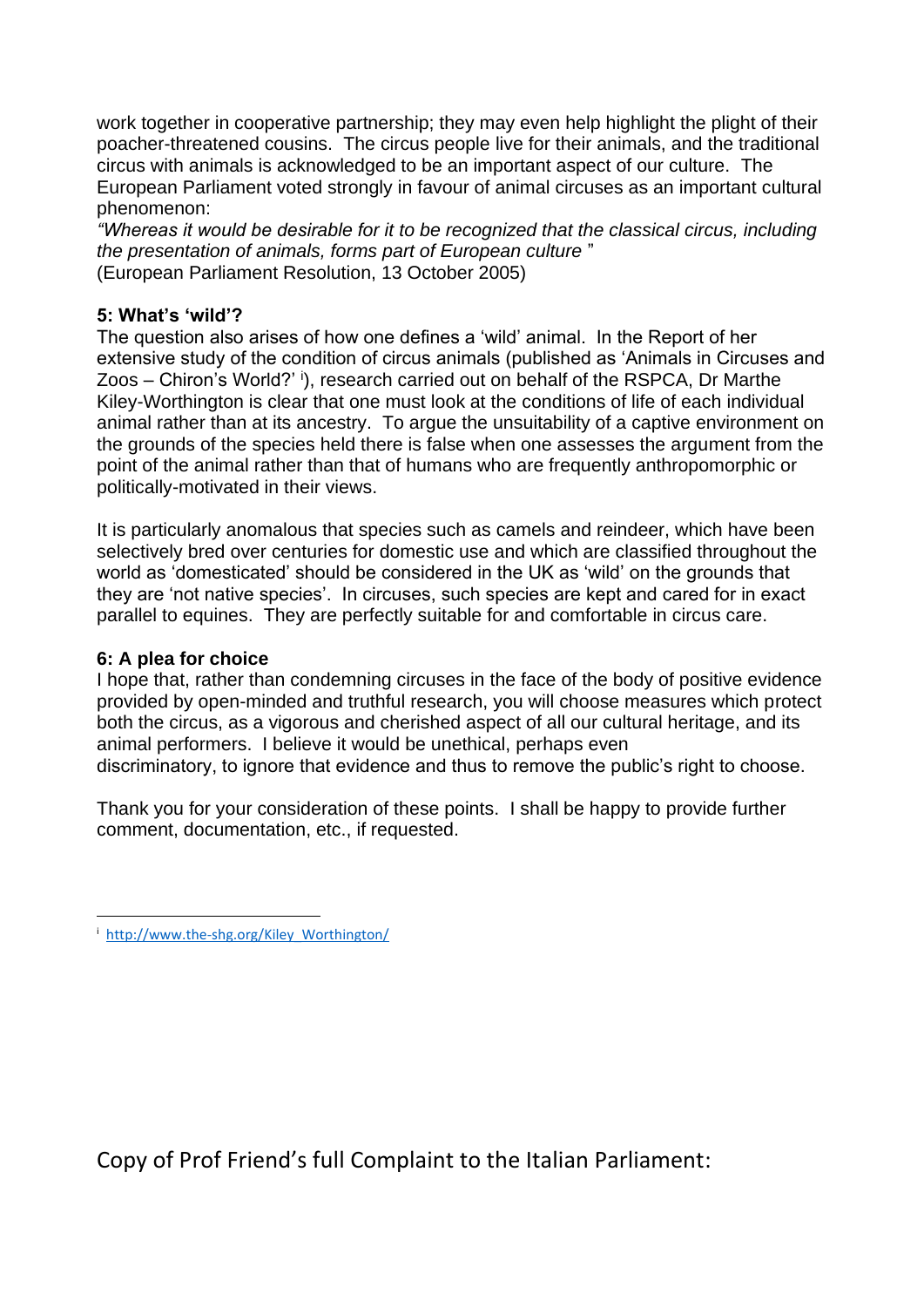work together in cooperative partnership; they may even help highlight the plight of their poacher-threatened cousins. The circus people live for their animals, and the traditional circus with animals is acknowledged to be an important aspect of our culture. The European Parliament voted strongly in favour of animal circuses as an important cultural phenomenon:

*"Whereas it would be desirable for it to be recognized that the classical circus, including the presentation of animals, forms part of European culture* " (European Parliament Resolution, 13 October 2005)

#### **5: What's 'wild'?**

The question also arises of how one defines a 'wild' animal. In the Report of her extensive study of the condition of circus animals (published as 'Animals in Circuses and Zoos – Chiron's World?' i), research carried out on behalf of the RSPCA, Dr Marthe Kiley-Worthington is clear that one must look at the conditions of life of each individual animal rather than at its ancestry. To argue the unsuitability of a captive environment on the grounds of the species held there is false when one assesses the argument from the point of the animal rather than that of humans who are frequently anthropomorphic or politically-motivated in their views.

It is particularly anomalous that species such as camels and reindeer, which have been selectively bred over centuries for domestic use and which are classified throughout the world as 'domesticated' should be considered in the UK as 'wild' on the grounds that they are 'not native species'. In circuses, such species are kept and cared for in exact parallel to equines. They are perfectly suitable for and comfortable in circus care.

#### **6: A plea for choice**

I hope that, rather than condemning circuses in the face of the body of positive evidence provided by open-minded and truthful research, you will choose measures which protect both the circus, as a vigorous and cherished aspect of all our cultural heritage, and its animal performers. I believe it would be unethical, perhaps even discriminatory, to ignore that evidence and thus to remove the public's right to choose.

Thank you for your consideration of these points. I shall be happy to provide further comment, documentation, etc., if requested.

Copy of Prof Friend's full Complaint to the Italian Parliament:

i  [http://www.the-shg.org/Kiley\\_Worthington/](http://www.the-shg.org/Kiley_Worthington/)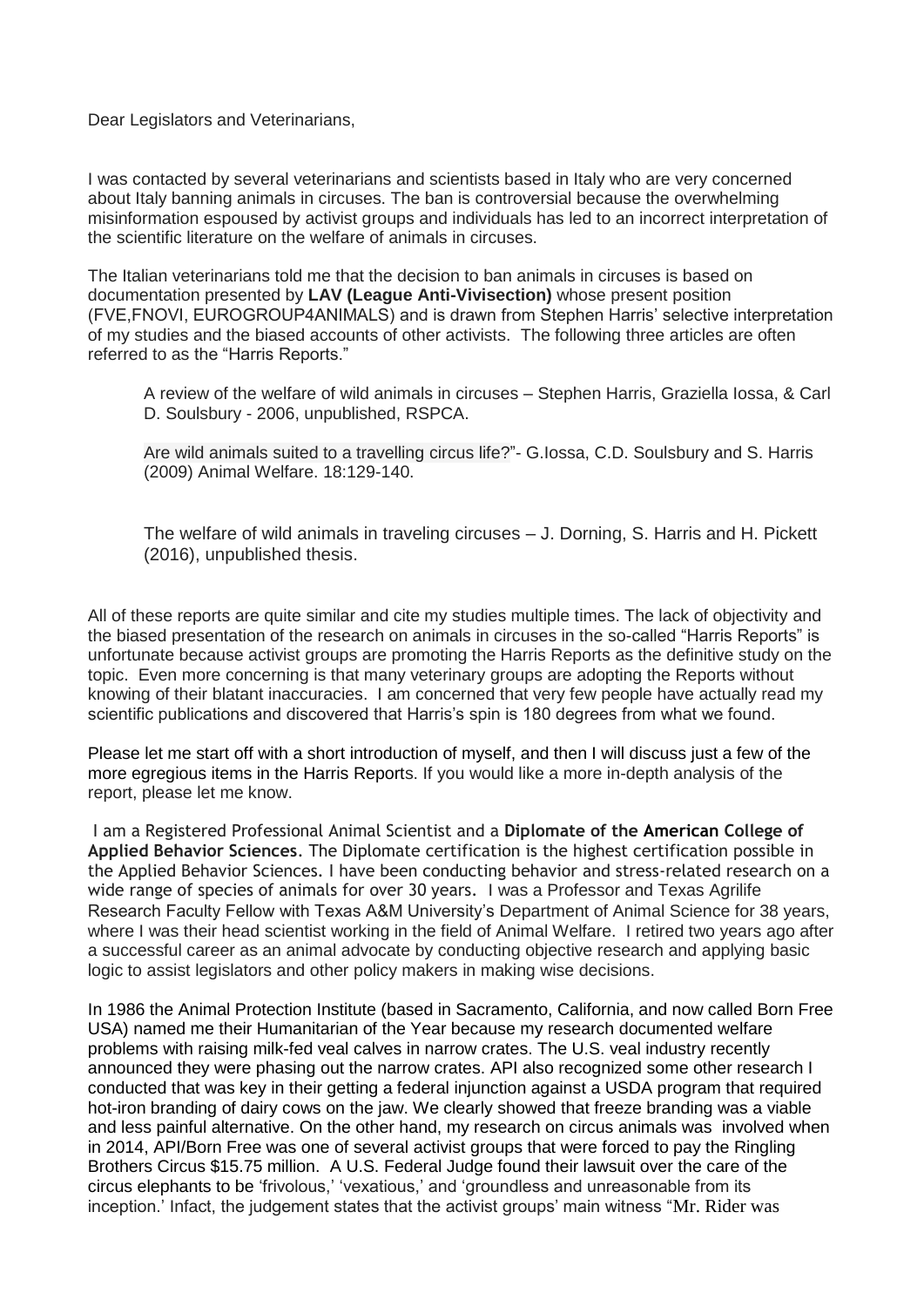Dear Legislators and Veterinarians,

I was contacted by several veterinarians and scientists based in Italy who are very concerned about Italy banning animals in circuses. The ban is controversial because the overwhelming misinformation espoused by activist groups and individuals has led to an incorrect interpretation of the scientific literature on the welfare of animals in circuses.

The Italian veterinarians told me that the decision to ban animals in circuses is based on documentation presented by **LAV (League Anti-Vivisection)** whose present position (FVE,FNOVI, EUROGROUP4ANIMALS) and is drawn from Stephen Harris' selective interpretation of my studies and the biased accounts of other activists. The following three articles are often referred to as the "Harris Reports."

A review of the welfare of wild animals in circuses – Stephen Harris, Graziella Iossa, & Carl D. Soulsbury - 2006, unpublished, RSPCA.

Are wild animals suited to a travelling circus life?"- G.Iossa, C.D. Soulsbury and S. Harris (2009) Animal Welfare. 18:129-140.

The welfare of wild animals in traveling circuses – J. Dorning, S. Harris and H. Pickett (2016), unpublished thesis.

All of these reports are quite similar and cite my studies multiple times. The lack of objectivity and the biased presentation of the research on animals in circuses in the so-called "Harris Reports" is unfortunate because activist groups are promoting the Harris Reports as the definitive study on the topic. Even more concerning is that many veterinary groups are adopting the Reports without knowing of their blatant inaccuracies. I am concerned that very few people have actually read my scientific publications and discovered that Harris's spin is 180 degrees from what we found.

Please let me start off with a short introduction of myself, and then I will discuss just a few of the more egregious items in the Harris Reports. If you would like a more in-depth analysis of the report, please let me know.

I am a Registered Professional Animal Scientist and a **Diplomate of th[e](http://maps.google.com/maps?ll=38.8833333333,-77.0166666667&spn=10.0,10.0&q=38.8833333333,-77.0166666667%20%28United%20States%29&t=h) [American](http://maps.google.com/maps?ll=38.8833333333,-77.0166666667&spn=10.0,10.0&q=38.8833333333,-77.0166666667%20%28United%20States%29&t=h) College of Applied Behavior Sciences**. The Diplomate certification is the highest certification possible in the Applied Behavior Sciences. I have been conducting behavior and stress-related research on a wide range of species of animals for over 30 years. I was a Professor and Texas Agrilife Research Faculty Fellow with Texas A&M University's Department of Animal Science for 38 years, where I was their head scientist working in the field of Animal Welfare. I retired two years ago after a successful career as an animal advocate by conducting objective research and applying basic logic to assist legislators and other policy makers in making wise decisions.

In 1986 the Animal Protection Institute (based in Sacramento, California, and now called Born Free USA) named me their Humanitarian of the Year because my research documented welfare problems with raising milk-fed veal calves in narrow crates. The U.S. veal industry recently announced they were phasing out the narrow crates. API also recognized some other research I conducted that was key in their getting a federal injunction against a USDA program that required hot-iron branding of dairy cows on the jaw. We clearly showed that freeze branding was a viable and less painful alternative. On the other hand, my research on circus animals was involved when in 2014, API/Born Free was one of several activist groups that were forced to pay the Ringling Brothers Circus \$15.75 million. A U.S. Federal Judge found their lawsuit over the care of the circus elephants to be 'frivolous,' 'vexatious,' and 'groundless and unreasonable from its inception.' Infact, the judgement states that the activist groups' main witness "Mr. Rider was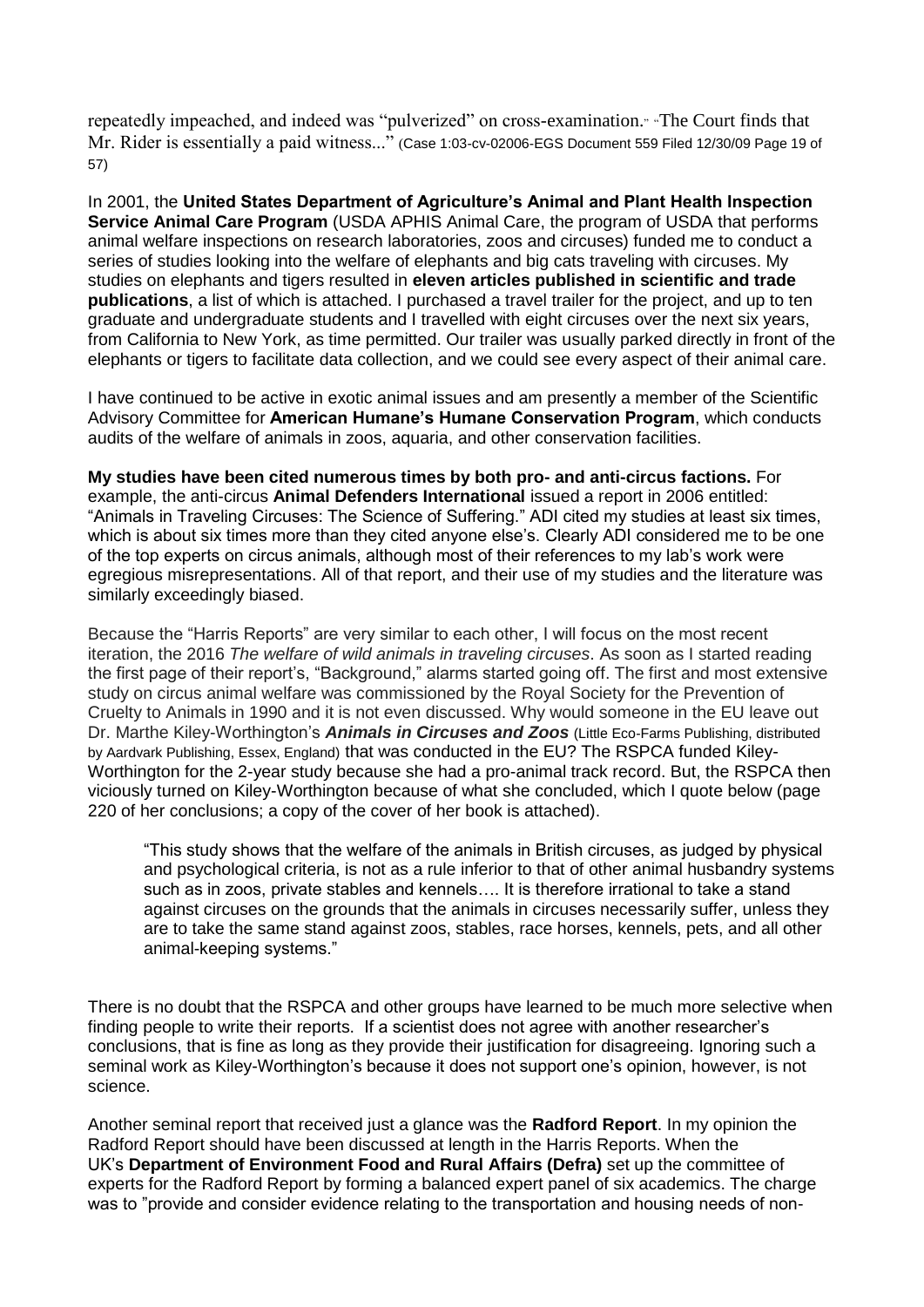repeatedly impeached, and indeed was "pulverized" on cross-examination." "The Court finds that Mr. Rider is essentially a paid witness..." (Case 1:03-cv-02006-EGS Document 559 Filed 12/30/09 Page 19 of 57)

In 2001, the **United States Department of Agriculture's Animal and Plant Health Inspection Service Animal Care Program** (USDA APHIS Animal Care, the program of USDA that performs animal welfare inspections on research laboratories, zoos and circuses) funded me to conduct a series of studies looking into the welfare of elephants and big cats traveling with circuses. My studies on elephants and tigers resulted in **eleven articles published in scientific and trade publications**, a list of which is attached. I purchased a travel trailer for the project, and up to ten graduate and undergraduate students and I travelled with eight circuses over the next six years, from California to New York, as time permitted. Our trailer was usually parked directly in front of the elephants or tigers to facilitate data collection, and we could see every aspect of their animal care.

I have continued to be active in exotic animal issues and am presently a member of the Scientific Advisory Committee for **American Humane's Humane Conservation Program**, which conducts audits of the welfare of animals in zoos, aquaria, and other conservation facilities.

**My studies have been cited numerous times by both pro- and anti-circus factions.** For example, the anti-circus **Animal Defenders International** issued a report in 2006 entitled: "Animals in Traveling Circuses: The Science of Suffering." ADI cited my studies at least six times, which is about six times more than they cited anyone else's. Clearly ADI considered me to be one of the top experts on circus animals, although most of their references to my lab's work were egregious misrepresentations. All of that report, and their use of my studies and the literature was similarly exceedingly biased.

Because the "Harris Reports" are very similar to each other, I will focus on the most recent iteration, the 2016 *The welfare of wild animals in traveling circuses*. As soon as I started reading the first page of their report's, "Background," alarms started going off. The first and most extensive study on circus animal welfare was commissioned by the Royal Society for the Prevention of Cruelty to Animals in 1990 and it is not even discussed. Why would someone in the EU leave out Dr. Marthe Kiley-Worthington's *Animals in Circuses and Zoos* (Little Eco-Farms Publishing, distributed by Aardvark Publishing, Essex, England) that was conducted in the EU? The RSPCA funded Kiley-Worthington for the 2-year study because she had a pro-animal track record. But, the RSPCA then viciously turned on Kiley-Worthington because of what she concluded, which I quote below (page 220 of her conclusions; a copy of the cover of her book is attached).

"This study shows that the welfare of the animals in British circuses, as judged by physical and psychological criteria, is not as a rule inferior to that of other animal husbandry systems such as in zoos, private stables and kennels…. It is therefore irrational to take a stand against circuses on the grounds that the animals in circuses necessarily suffer, unless they are to take the same stand against zoos, stables, race horses, kennels, pets, and all other animal-keeping systems."

There is no doubt that the RSPCA and other groups have learned to be much more selective when finding people to write their reports. If a scientist does not agree with another researcher's conclusions, that is fine as long as they provide their justification for disagreeing. Ignoring such a seminal work as Kiley-Worthington's because it does not support one's opinion, however, is not science.

Another seminal report that received just a glance was the **Radford Report**. In my opinion the Radford Report should have been discussed at length in the Harris Reports. When the UK's **Department of Environment Food and Rural Affairs (Defra)** set up the committee of experts for the Radford Report by forming a balanced expert panel of six academics. The charge was to "provide and consider evidence relating to the transportation and housing needs of non-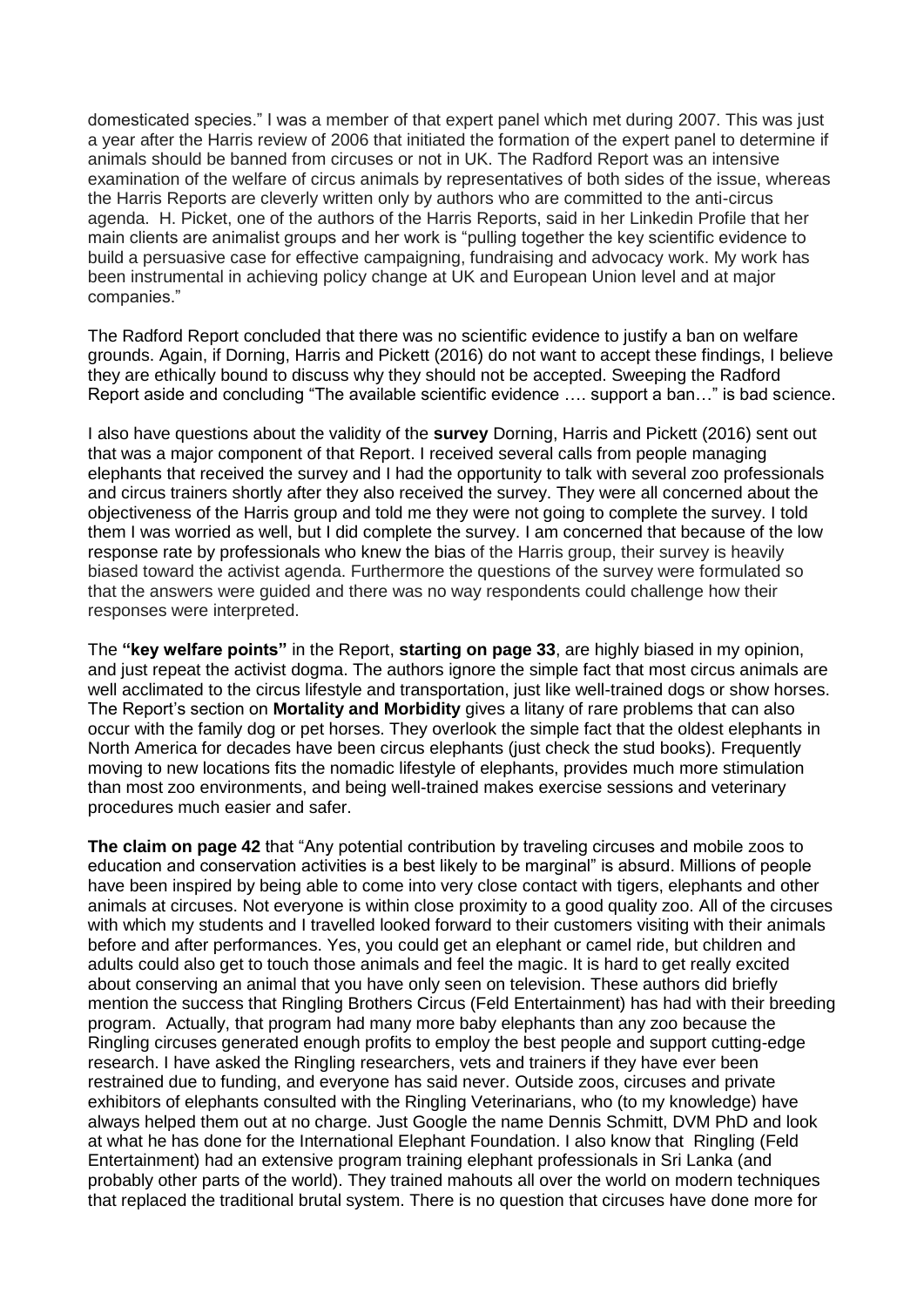domesticated species." I was a member of that expert panel which met during 2007. This was just a year after the Harris review of 2006 that initiated the formation of the expert panel to determine if animals should be banned from circuses or not in UK. The Radford Report was an intensive examination of the welfare of circus animals by representatives of both sides of the issue, whereas the Harris Reports are cleverly written only by authors who are committed to the anti-circus agenda. H. Picket, one of the authors of the Harris Reports, said in her Linkedin Profile that her main clients are animalist groups and her work is "pulling together the key scientific evidence to build a persuasive case for effective campaigning, fundraising and advocacy work. My work has been instrumental in achieving policy change at UK and European Union level and at major companies."

The Radford Report concluded that there was no scientific evidence to justify a ban on welfare grounds. Again, if Dorning, Harris and Pickett (2016) do not want to accept these findings, I believe they are ethically bound to discuss why they should not be accepted. Sweeping the Radford Report aside and concluding "The available scientific evidence …. support a ban…" is bad science.

I also have questions about the validity of the **survey** Dorning, Harris and Pickett (2016) sent out that was a major component of that Report. I received several calls from people managing elephants that received the survey and I had the opportunity to talk with several zoo professionals and circus trainers shortly after they also received the survey. They were all concerned about the objectiveness of the Harris group and told me they were not going to complete the survey. I told them I was worried as well, but I did complete the survey. I am concerned that because of the low response rate by professionals who knew the bias of the Harris group, their survey is heavily biased toward the activist agenda. Furthermore the questions of the survey were formulated so that the answers were guided and there was no way respondents could challenge how their responses were interpreted.

The **"key welfare points"** in the Report, **starting on page 33**, are highly biased in my opinion, and just repeat the activist dogma. The authors ignore the simple fact that most circus animals are well acclimated to the circus lifestyle and transportation, just like well-trained dogs or show horses. The Report's section on **Mortality and Morbidity** gives a litany of rare problems that can also occur with the family dog or pet horses. They overlook the simple fact that the oldest elephants in North America for decades have been circus elephants (just check the stud books). Frequently moving to new locations fits the nomadic lifestyle of elephants, provides much more stimulation than most zoo environments, and being well-trained makes exercise sessions and veterinary procedures much easier and safer.

**The claim on page 42** that "Any potential contribution by traveling circuses and mobile zoos to education and conservation activities is a best likely to be marginal" is absurd. Millions of people have been inspired by being able to come into very close contact with tigers, elephants and other animals at circuses. Not everyone is within close proximity to a good quality zoo. All of the circuses with which my students and I travelled looked forward to their customers visiting with their animals before and after performances. Yes, you could get an elephant or camel ride, but children and adults could also get to touch those animals and feel the magic. It is hard to get really excited about conserving an animal that you have only seen on television. These authors did briefly mention the success that Ringling Brothers Circus (Feld Entertainment) has had with their breeding program. Actually, that program had many more baby elephants than any zoo because the Ringling circuses generated enough profits to employ the best people and support cutting-edge research. I have asked the Ringling researchers, vets and trainers if they have ever been restrained due to funding, and everyone has said never. Outside zoos, circuses and private exhibitors of elephants consulted with the Ringling Veterinarians, who (to my knowledge) have always helped them out at no charge. Just Google the name Dennis Schmitt, DVM PhD and look at what he has done for the International Elephant Foundation. I also know that Ringling (Feld Entertainment) had an extensive program training elephant professionals in Sri Lanka (and probably other parts of the world). They trained mahouts all over the world on modern techniques that replaced the traditional brutal system. There is no question that circuses have done more for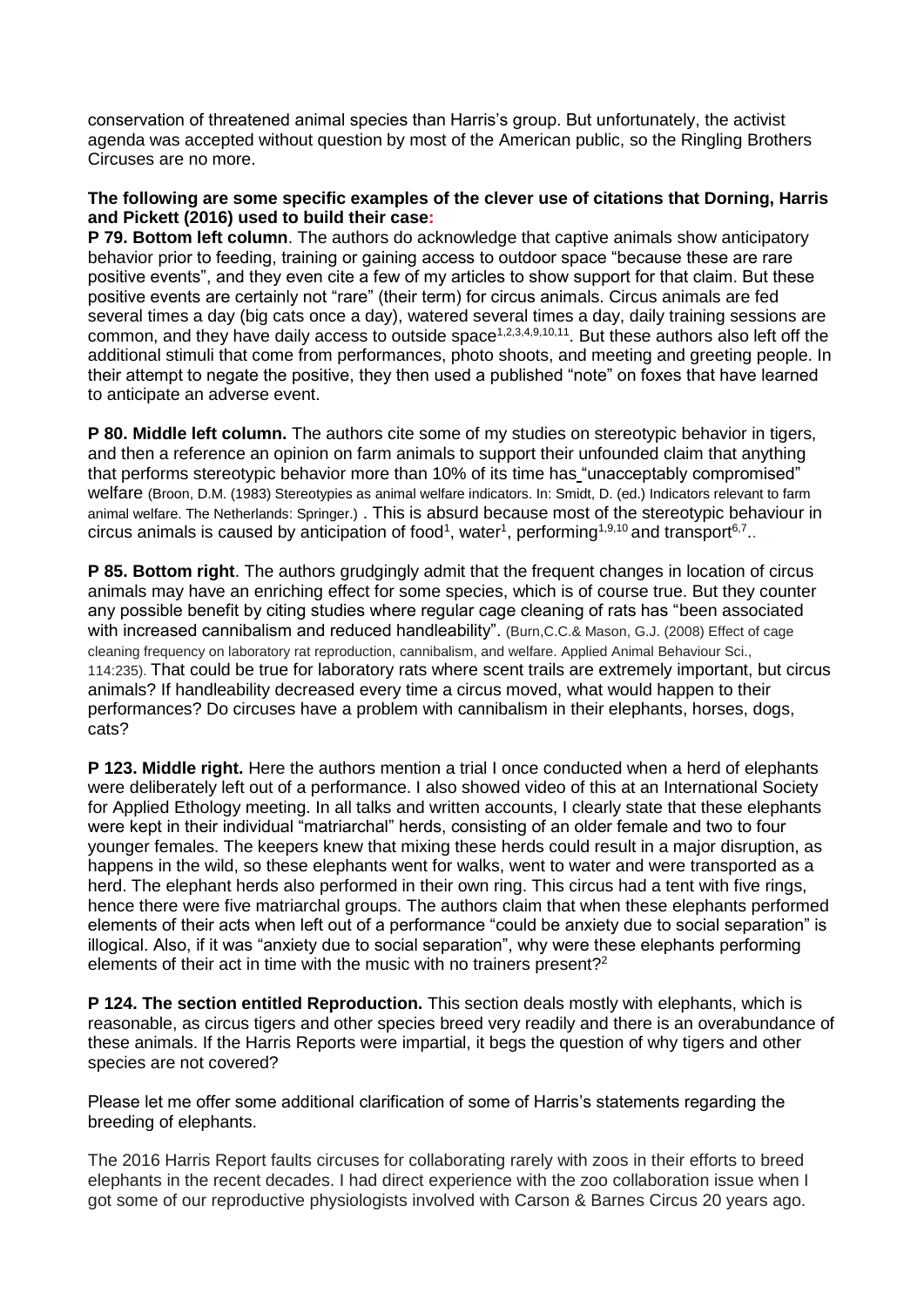conservation of threatened animal species than Harris's group. But unfortunately, the activist agenda was accepted without question by most of the American public, so the Ringling Brothers Circuses are no more.

#### **The following are some specific examples of the clever use of citations that Dorning, Harris and Pickett (2016) used to build their case:**

**P 79. Bottom left column**. The authors do acknowledge that captive animals show anticipatory behavior prior to feeding, training or gaining access to outdoor space "because these are rare positive events", and they even cite a few of my articles to show support for that claim. But these positive events are certainly not "rare" (their term) for circus animals. Circus animals are fed several times a day (big cats once a day), watered several times a day, daily training sessions are common, and they have daily access to outside space<sup>1,2,3,4,9,10,11</sup>. But these authors also left off the additional stimuli that come from performances, photo shoots, and meeting and greeting people. In their attempt to negate the positive, they then used a published "note" on foxes that have learned to anticipate an adverse event.

**P 80. Middle left column.** The authors cite some of my studies on stereotypic behavior in tigers, and then a reference an opinion on farm animals to support their unfounded claim that anything that performs stereotypic behavior more than 10% of its time has "unacceptably compromised" welfare (Broon, D.M. (1983) Stereotypies as animal welfare indicators. In: Smidt, D. (ed.) Indicators relevant to farm animal welfare. The Netherlands: Springer.) . This is absurd because most of the stereotypic behaviour in circus animals is caused by anticipation of food<sup>1</sup>, water<sup>1</sup>, performing<sup>1,9,10</sup> and transport<sup>6,7</sup>..

**P 85. Bottom right**. The authors grudgingly admit that the frequent changes in location of circus animals may have an enriching effect for some species, which is of course true. But they counter any possible benefit by citing studies where regular cage cleaning of rats has "been associated with increased cannibalism and reduced handleability". (Burn, C.C.& Mason, G.J. (2008) Effect of cage cleaning frequency on laboratory rat reproduction, cannibalism, and welfare. Applied Animal Behaviour Sci., 114:235). That could be true for laboratory rats where scent trails are extremely important, but circus animals? If handleability decreased every time a circus moved, what would happen to their performances? Do circuses have a problem with cannibalism in their elephants, horses, dogs, cats?

**P 123. Middle right.** Here the authors mention a trial I once conducted when a herd of elephants were deliberately left out of a performance. I also showed video of this at an International Society for Applied Ethology meeting. In all talks and written accounts, I clearly state that these elephants were kept in their individual "matriarchal" herds, consisting of an older female and two to four younger females. The keepers knew that mixing these herds could result in a major disruption, as happens in the wild, so these elephants went for walks, went to water and were transported as a herd. The elephant herds also performed in their own ring. This circus had a tent with five rings, hence there were five matriarchal groups. The authors claim that when these elephants performed elements of their acts when left out of a performance "could be anxiety due to social separation" is illogical. Also, if it was "anxiety due to social separation", why were these elephants performing elements of their act in time with the music with no trainers present?<sup>2</sup>

**P 124. The section entitled Reproduction.** This section deals mostly with elephants, which is reasonable, as circus tigers and other species breed very readily and there is an overabundance of these animals. If the Harris Reports were impartial, it begs the question of why tigers and other species are not covered?

Please let me offer some additional clarification of some of Harris's statements regarding the breeding of elephants.

The 2016 Harris Report faults circuses for collaborating rarely with zoos in their efforts to breed elephants in the recent decades. I had direct experience with the zoo collaboration issue when I got some of our reproductive physiologists involved with Carson & Barnes Circus 20 years ago.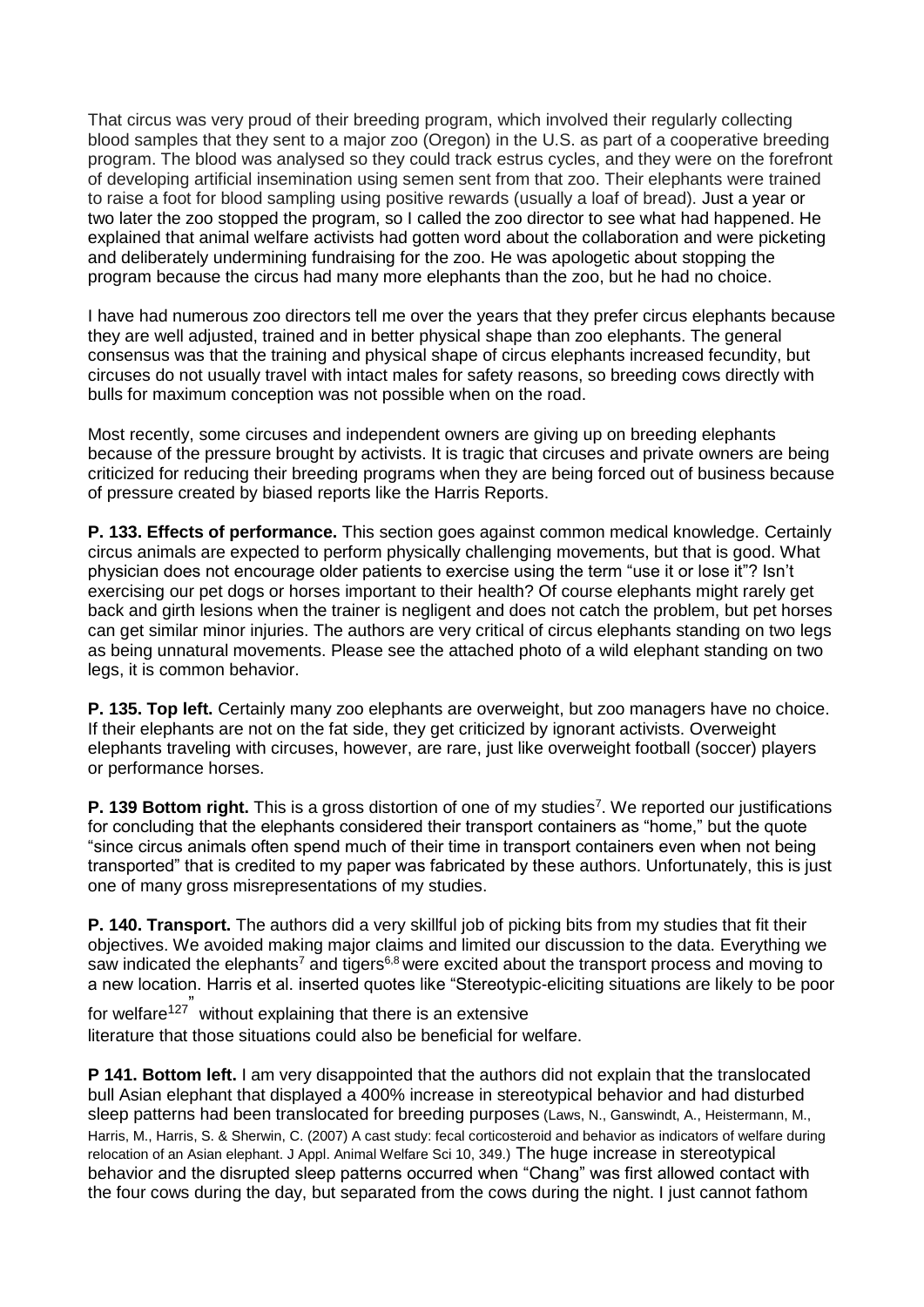That circus was very proud of their breeding program, which involved their regularly collecting blood samples that they sent to a major zoo (Oregon) in the U.S. as part of a cooperative breeding program. The blood was analysed so they could track estrus cycles, and they were on the forefront of developing artificial insemination using semen sent from that zoo. Their elephants were trained to raise a foot for blood sampling using positive rewards (usually a loaf of bread). Just a year or two later the zoo stopped the program, so I called the zoo director to see what had happened. He explained that animal welfare activists had gotten word about the collaboration and were picketing and deliberately undermining fundraising for the zoo. He was apologetic about stopping the program because the circus had many more elephants than the zoo, but he had no choice.

I have had numerous zoo directors tell me over the years that they prefer circus elephants because they are well adjusted, trained and in better physical shape than zoo elephants. The general consensus was that the training and physical shape of circus elephants increased fecundity, but circuses do not usually travel with intact males for safety reasons, so breeding cows directly with bulls for maximum conception was not possible when on the road.

Most recently, some circuses and independent owners are giving up on breeding elephants because of the pressure brought by activists. It is tragic that circuses and private owners are being criticized for reducing their breeding programs when they are being forced out of business because of pressure created by biased reports like the Harris Reports.

**P. 133. Effects of performance.** This section goes against common medical knowledge. Certainly circus animals are expected to perform physically challenging movements, but that is good. What physician does not encourage older patients to exercise using the term "use it or lose it"? Isn't exercising our pet dogs or horses important to their health? Of course elephants might rarely get back and girth lesions when the trainer is negligent and does not catch the problem, but pet horses can get similar minor injuries. The authors are very critical of circus elephants standing on two legs as being unnatural movements. Please see the attached photo of a wild elephant standing on two legs, it is common behavior.

**P. 135. Top left.** Certainly many zoo elephants are overweight, but zoo managers have no choice. If their elephants are not on the fat side, they get criticized by ignorant activists. Overweight elephants traveling with circuses, however, are rare, just like overweight football (soccer) players or performance horses.

P. 139 Bottom right. This is a gross distortion of one of my studies<sup>7</sup>. We reported our justifications for concluding that the elephants considered their transport containers as "home," but the quote "since circus animals often spend much of their time in transport containers even when not being transported" that is credited to my paper was fabricated by these authors. Unfortunately, this is just one of many gross misrepresentations of my studies.

**P. 140. Transport.** The authors did a very skillful job of picking bits from my studies that fit their objectives. We avoided making major claims and limited our discussion to the data. Everything we saw indicated the elephants<sup>7</sup> and tigers<sup>6,8</sup> were excited about the transport process and moving to a new location. Harris et al. inserted quotes like "Stereotypic-eliciting situations are likely to be poor

for welfare<sup>127</sup> <sup>"</sup> without explaining that there is an extensive literature that those situations could also be beneficial for welfare.

**P 141. Bottom left.** I am very disappointed that the authors did not explain that the translocated bull Asian elephant that displayed a 400% increase in stereotypical behavior and had disturbed sleep patterns had been translocated for breeding purposes (Laws, N., Ganswindt, A., Heistermann, M., Harris, M., Harris, S. & Sherwin, C. (2007) A cast study: fecal corticosteroid and behavior as indicators of welfare during relocation of an Asian elephant. J Appl. Animal Welfare Sci 10, 349.) The huge increase in stereotypical behavior and the disrupted sleep patterns occurred when "Chang" was first allowed contact with the four cows during the day, but separated from the cows during the night. I just cannot fathom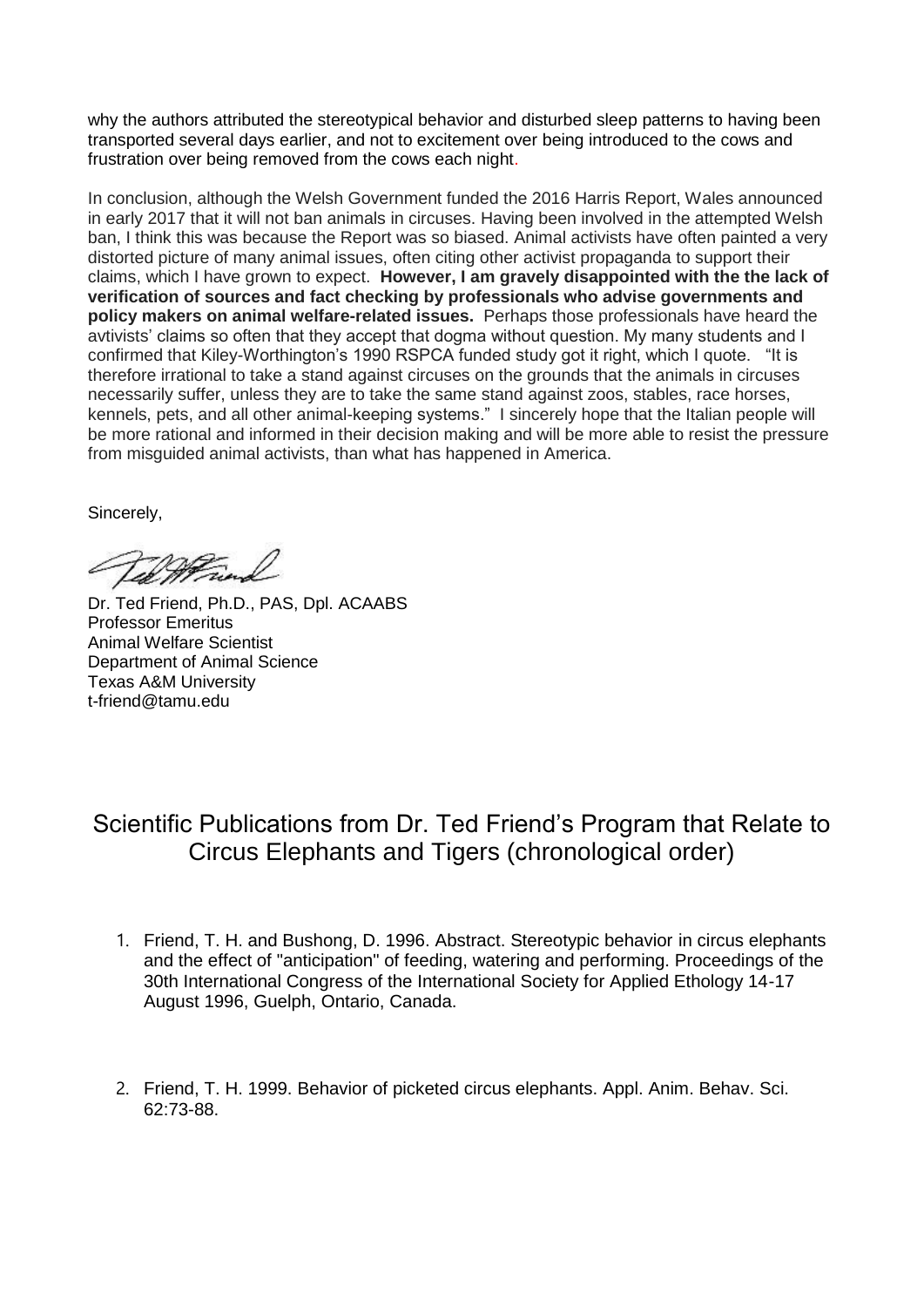why the authors attributed the stereotypical behavior and disturbed sleep patterns to having been transported several days earlier, and not to excitement over being introduced to the cows and frustration over being removed from the cows each night.

In conclusion, although the Welsh Government funded the 2016 Harris Report, Wales announced in early 2017 that it will not ban animals in circuses. Having been involved in the attempted Welsh ban, I think this was because the Report was so biased. Animal activists have often painted a very distorted picture of many animal issues, often citing other activist propaganda to support their claims, which I have grown to expect. **However, I am gravely disappointed with the the lack of verification of sources and fact checking by professionals who advise governments and policy makers on animal welfare-related issues.** Perhaps those professionals have heard the avtivists' claims so often that they accept that dogma without question. My many students and I confirmed that Kiley-Worthington's 1990 RSPCA funded study got it right, which I quote. "It is therefore irrational to take a stand against circuses on the grounds that the animals in circuses necessarily suffer, unless they are to take the same stand against zoos, stables, race horses, kennels, pets, and all other animal-keeping systems." I sincerely hope that the Italian people will be more rational and informed in their decision making and will be more able to resist the pressure from misguided animal activists, than what has happened in America.

Sincerely,

Vil Man

Dr. Ted Friend, Ph.D., PAS, Dpl. ACAABS Professor Emeritus Animal Welfare Scientist Department of Animal Science Texas A&M University t-friend@tamu.edu

### Scientific Publications from Dr. Ted Friend's Program that Relate to Circus Elephants and Tigers (chronological order)

- 1. Friend, T. H. and Bushong, D. 1996. Abstract. Stereotypic behavior in circus elephants and the effect of "anticipation" of feeding, watering and performing. Proceedings of the 30th International Congress of the International Society for Applied Ethology 14-17 August 1996, Guelph, Ontario, Canada.
- 2. Friend, T. H. 1999. Behavior of picketed circus elephants. Appl. Anim. Behav. Sci. 62:73-88.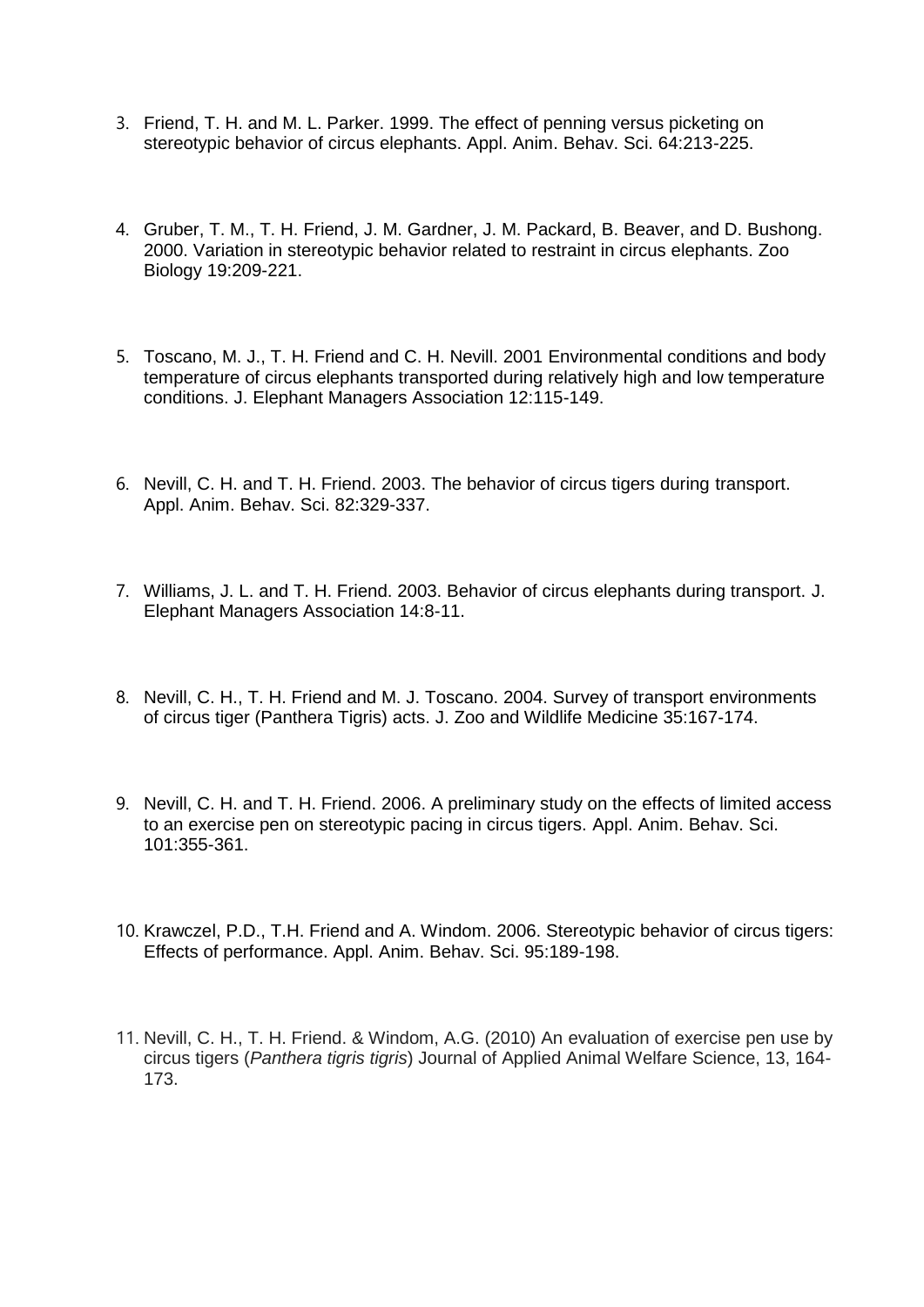- 3. Friend, T. H. and M. L. Parker. 1999. The effect of penning versus picketing on stereotypic behavior of circus elephants. Appl. Anim. Behav. Sci. 64:213-225.
- 4. Gruber, T. M., T. H. Friend, J. M. Gardner, J. M. Packard, B. Beaver, and D. Bushong. 2000. Variation in stereotypic behavior related to restraint in circus elephants. Zoo Biology 19:209-221.
- 5. Toscano, M. J., T. H. Friend and C. H. Nevill. 2001 Environmental conditions and body temperature of circus elephants transported during relatively high and low temperature conditions. J. Elephant Managers Association 12:115-149.
- 6. Nevill, C. H. and T. H. Friend. 2003. The behavior of circus tigers during transport. Appl. Anim. Behav. Sci. 82:329-337.
- 7. Williams, J. L. and T. H. Friend. 2003. Behavior of circus elephants during transport. J. Elephant Managers Association 14:8-11.
- 8. Nevill, C. H., T. H. Friend and M. J. Toscano. 2004. Survey of transport environments of circus tiger (Panthera Tigris) acts. J. Zoo and Wildlife Medicine 35:167-174.
- 9. Nevill, C. H. and T. H. Friend. 2006. A preliminary study on the effects of limited access to an exercise pen on stereotypic pacing in circus tigers. Appl. Anim. Behav. Sci. 101:355-361.
- 10. Krawczel, P.D., T.H. Friend and A. Windom. 2006. Stereotypic behavior of circus tigers: Effects of performance. Appl. Anim. Behav. Sci. 95:189-198.
- 11. Nevill, C. H., T. H. Friend. & Windom, A.G. (2010) An evaluation of exercise pen use by circus tigers (*Panthera tigris tigris*) Journal of Applied Animal Welfare Science, 13, 164- 173.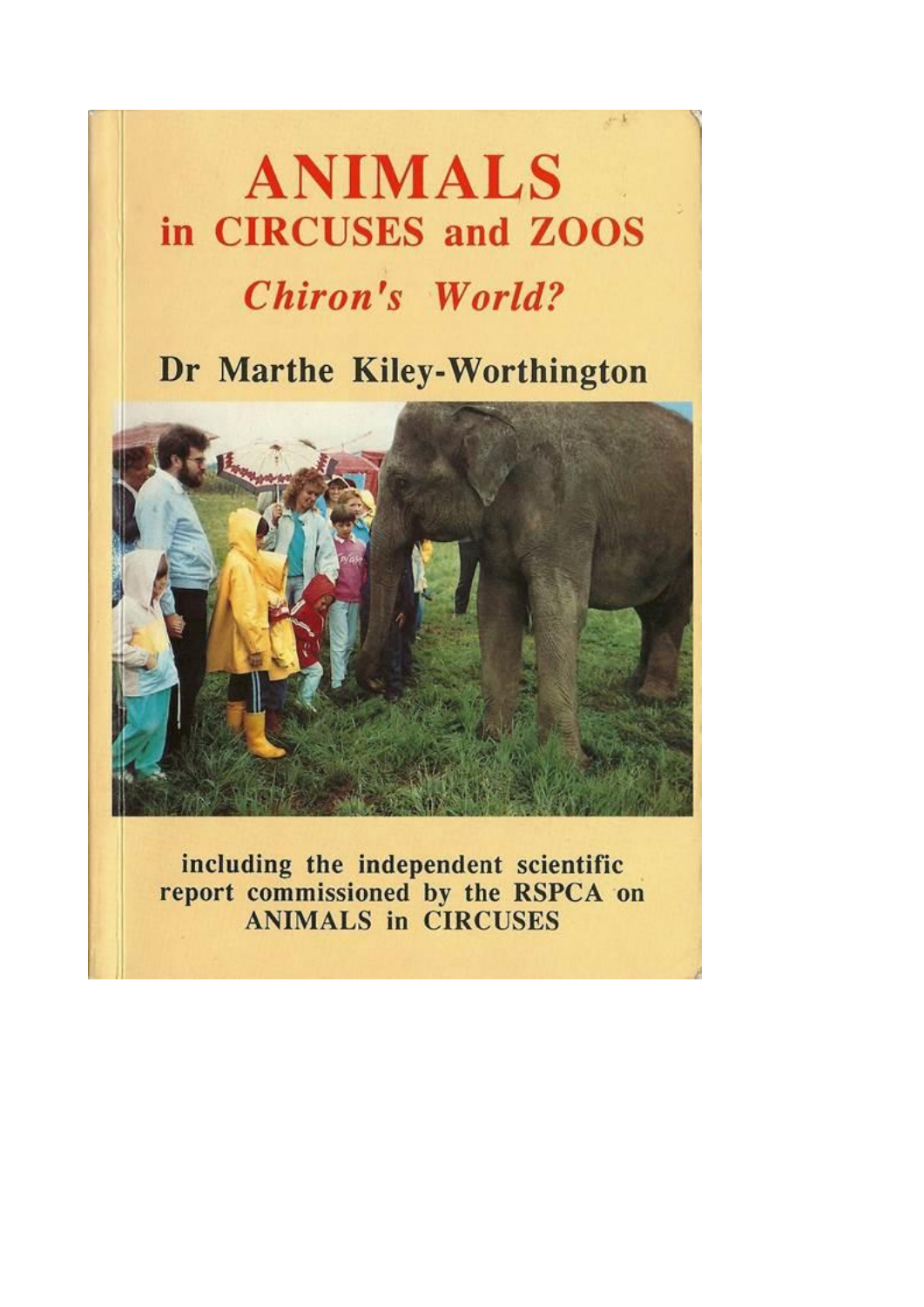# **ANIMALS** in CIRCUSES and ZOOS

## **Chiron's World?**

### Dr Marthe Kiley-Worthington



including the independent scientific report commissioned by the RSPCA on<br>ANIMALS in CIRCUSES